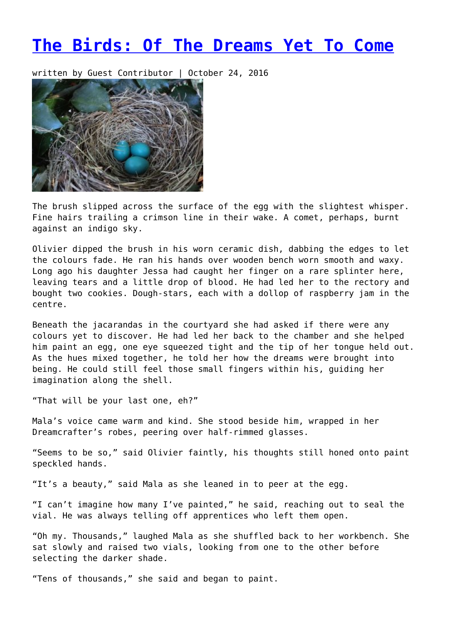## **[The Birds: Of The Dreams Yet To Come](https://entropymag.org/the-birds-of-the-dreams-yet-to-come/)**

written by Guest Contributor | October 24, 2016



The brush slipped across the surface of the egg with the slightest whisper. Fine hairs trailing a crimson line in their wake. A comet, perhaps, burnt against an indigo sky.

Olivier dipped the brush in his worn ceramic dish, dabbing the edges to let the colours fade. He ran his hands over wooden bench worn smooth and waxy. Long ago his daughter Jessa had caught her finger on a rare splinter here, leaving tears and a little drop of blood. He had led her to the rectory and bought two cookies. Dough-stars, each with a dollop of raspberry jam in the centre.

Beneath the jacarandas in the courtyard she had asked if there were any colours yet to discover. He had led her back to the chamber and she helped him paint an egg, one eye squeezed tight and the tip of her tongue held out. As the hues mixed together, he told her how the dreams were brought into being. He could still feel those small fingers within his, guiding her imagination along the shell.

"That will be your last one, eh?"

Mala's voice came warm and kind. She stood beside him, wrapped in her Dreamcrafter's robes, peering over half-rimmed glasses.

"Seems to be so," said Olivier faintly, his thoughts still honed onto paint speckled hands.

"It's a beauty," said Mala as she leaned in to peer at the egg.

"I can't imagine how many I've painted," he said, reaching out to seal the vial. He was always telling off apprentices who left them open.

"Oh my. Thousands," laughed Mala as she shuffled back to her workbench. She sat slowly and raised two vials, looking from one to the other before selecting the darker shade.

"Tens of thousands," she said and began to paint.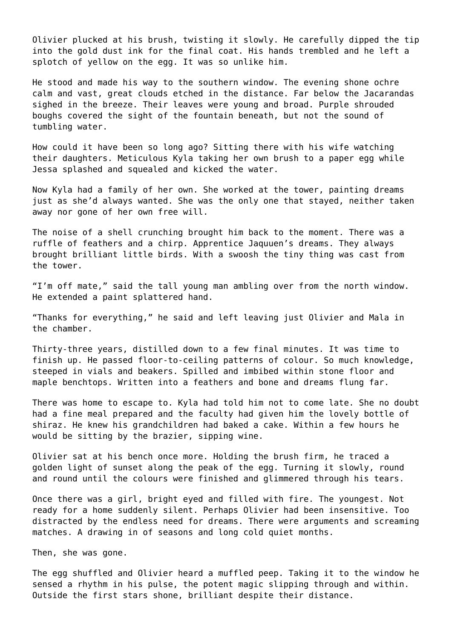Olivier plucked at his brush, twisting it slowly. He carefully dipped the tip into the gold dust ink for the final coat. His hands trembled and he left a splotch of yellow on the egg. It was so unlike him.

He stood and made his way to the southern window. The evening shone ochre calm and vast, great clouds etched in the distance. Far below the Jacarandas sighed in the breeze. Their leaves were young and broad. Purple shrouded boughs covered the sight of the fountain beneath, but not the sound of tumbling water.

How could it have been so long ago? Sitting there with his wife watching their daughters. Meticulous Kyla taking her own brush to a paper egg while Jessa splashed and squealed and kicked the water.

Now Kyla had a family of her own. She worked at the tower, painting dreams just as she'd always wanted. She was the only one that stayed, neither taken away nor gone of her own free will.

The noise of a shell crunching brought him back to the moment. There was a ruffle of feathers and a chirp. Apprentice Jaquuen's dreams. They always brought brilliant little birds. With a swoosh the tiny thing was cast from the tower.

"I'm off mate," said the tall young man ambling over from the north window. He extended a paint splattered hand.

"Thanks for everything," he said and left leaving just Olivier and Mala in the chamber.

Thirty-three years, distilled down to a few final minutes. It was time to finish up. He passed floor-to-ceiling patterns of colour. So much knowledge, steeped in vials and beakers. Spilled and imbibed within stone floor and maple benchtops. Written into a feathers and bone and dreams flung far.

There was home to escape to. Kyla had told him not to come late. She no doubt had a fine meal prepared and the faculty had given him the lovely bottle of shiraz. He knew his grandchildren had baked a cake. Within a few hours he would be sitting by the brazier, sipping wine.

Olivier sat at his bench once more. Holding the brush firm, he traced a golden light of sunset along the peak of the egg. Turning it slowly, round and round until the colours were finished and glimmered through his tears.

Once there was a girl, bright eyed and filled with fire. The youngest. Not ready for a home suddenly silent. Perhaps Olivier had been insensitive. Too distracted by the endless need for dreams. There were arguments and screaming matches. A drawing in of seasons and long cold quiet months.

Then, she was gone.

The egg shuffled and Olivier heard a muffled peep. Taking it to the window he sensed a rhythm in his pulse, the potent magic slipping through and within. Outside the first stars shone, brilliant despite their distance.